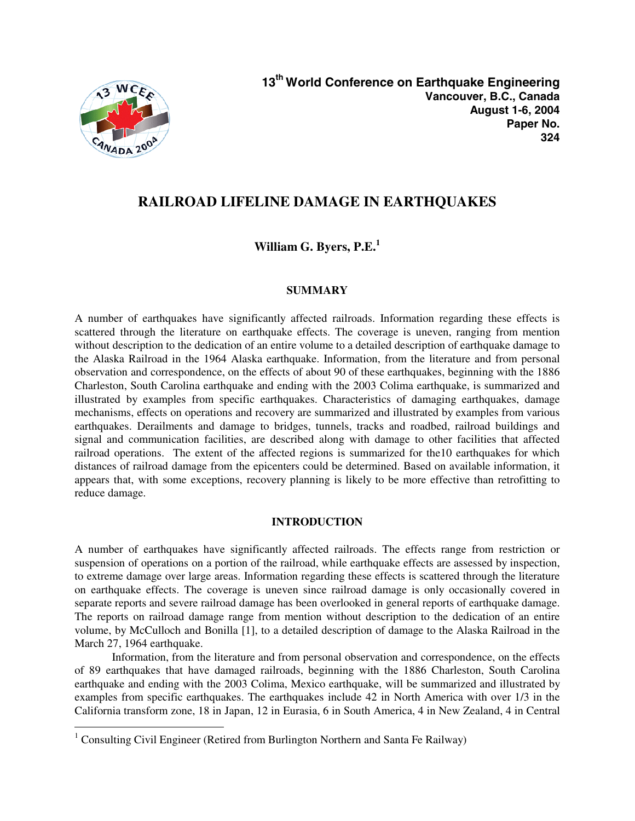

 $\overline{a}$ 

# **RAILROAD LIFELINE DAMAGE IN EARTHQUAKES**

**William G. Byers, P.E.<sup>1</sup>**

# **SUMMARY**

A number of earthquakes have significantly affected railroads. Information regarding these effects is scattered through the literature on earthquake effects. The coverage is uneven, ranging from mention without description to the dedication of an entire volume to a detailed description of earthquake damage to the Alaska Railroad in the 1964 Alaska earthquake. Information, from the literature and from personal observation and correspondence, on the effects of about 90 of these earthquakes, beginning with the 1886 Charleston, South Carolina earthquake and ending with the 2003 Colima earthquake, is summarized and illustrated by examples from specific earthquakes. Characteristics of damaging earthquakes, damage mechanisms, effects on operations and recovery are summarized and illustrated by examples from various earthquakes. Derailments and damage to bridges, tunnels, tracks and roadbed, railroad buildings and signal and communication facilities, are described along with damage to other facilities that affected railroad operations. The extent of the affected regions is summarized for the10 earthquakes for which distances of railroad damage from the epicenters could be determined. Based on available information, it appears that, with some exceptions, recovery planning is likely to be more effective than retrofitting to reduce damage.

# **INTRODUCTION**

A number of earthquakes have significantly affected railroads. The effects range from restriction or suspension of operations on a portion of the railroad, while earthquake effects are assessed by inspection, to extreme damage over large areas. Information regarding these effects is scattered through the literature on earthquake effects. The coverage is uneven since railroad damage is only occasionally covered in separate reports and severe railroad damage has been overlooked in general reports of earthquake damage. The reports on railroad damage range from mention without description to the dedication of an entire volume, by McCulloch and Bonilla [1], to a detailed description of damage to the Alaska Railroad in the March 27, 1964 earthquake.

Information, from the literature and from personal observation and correspondence, on the effects of 89 earthquakes that have damaged railroads, beginning with the 1886 Charleston, South Carolina earthquake and ending with the 2003 Colima, Mexico earthquake, will be summarized and illustrated by examples from specific earthquakes. The earthquakes include 42 in North America with over 1/3 in the California transform zone, 18 in Japan, 12 in Eurasia, 6 in South America, 4 in New Zealand, 4 in Central

<sup>&</sup>lt;sup>1</sup> Consulting Civil Engineer (Retired from Burlington Northern and Santa Fe Railway)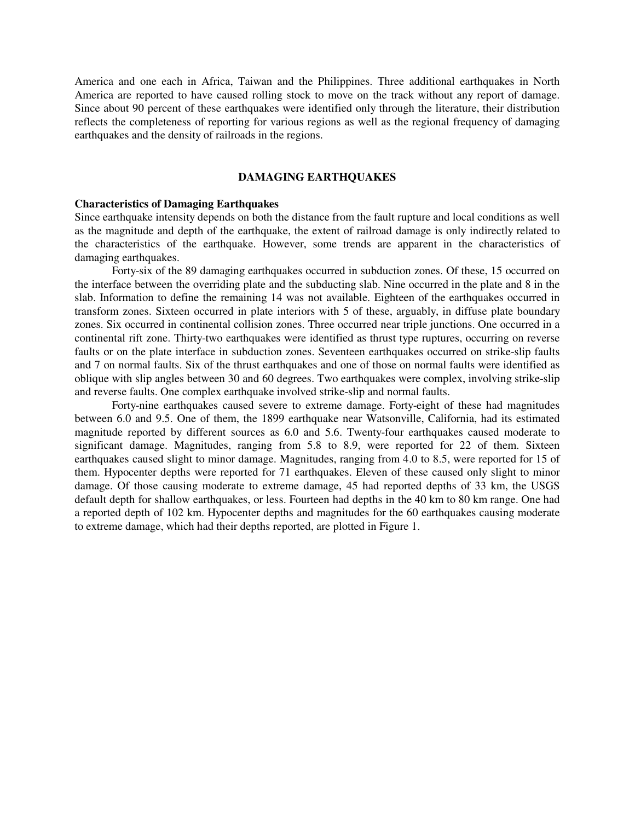America and one each in Africa, Taiwan and the Philippines. Three additional earthquakes in North America are reported to have caused rolling stock to move on the track without any report of damage. Since about 90 percent of these earthquakes were identified only through the literature, their distribution reflects the completeness of reporting for various regions as well as the regional frequency of damaging earthquakes and the density of railroads in the regions.

#### **DAMAGING EARTHQUAKES**

#### **Characteristics of Damaging Earthquakes**

Since earthquake intensity depends on both the distance from the fault rupture and local conditions as well as the magnitude and depth of the earthquake, the extent of railroad damage is only indirectly related to the characteristics of the earthquake. However, some trends are apparent in the characteristics of damaging earthquakes.

Forty-six of the 89 damaging earthquakes occurred in subduction zones. Of these, 15 occurred on the interface between the overriding plate and the subducting slab. Nine occurred in the plate and 8 in the slab. Information to define the remaining 14 was not available. Eighteen of the earthquakes occurred in transform zones. Sixteen occurred in plate interiors with 5 of these, arguably, in diffuse plate boundary zones. Six occurred in continental collision zones. Three occurred near triple junctions. One occurred in a continental rift zone. Thirty-two earthquakes were identified as thrust type ruptures, occurring on reverse faults or on the plate interface in subduction zones. Seventeen earthquakes occurred on strike-slip faults and 7 on normal faults. Six of the thrust earthquakes and one of those on normal faults were identified as oblique with slip angles between 30 and 60 degrees. Two earthquakes were complex, involving strike-slip and reverse faults. One complex earthquake involved strike-slip and normal faults.

Forty-nine earthquakes caused severe to extreme damage. Forty-eight of these had magnitudes between 6.0 and 9.5. One of them, the 1899 earthquake near Watsonville, California, had its estimated magnitude reported by different sources as 6.0 and 5.6. Twenty-four earthquakes caused moderate to significant damage. Magnitudes, ranging from 5.8 to 8.9, were reported for 22 of them. Sixteen earthquakes caused slight to minor damage. Magnitudes, ranging from 4.0 to 8.5, were reported for 15 of them. Hypocenter depths were reported for 71 earthquakes. Eleven of these caused only slight to minor damage. Of those causing moderate to extreme damage, 45 had reported depths of 33 km, the USGS default depth for shallow earthquakes, or less. Fourteen had depths in the 40 km to 80 km range. One had a reported depth of 102 km. Hypocenter depths and magnitudes for the 60 earthquakes causing moderate to extreme damage, which had their depths reported, are plotted in Figure 1.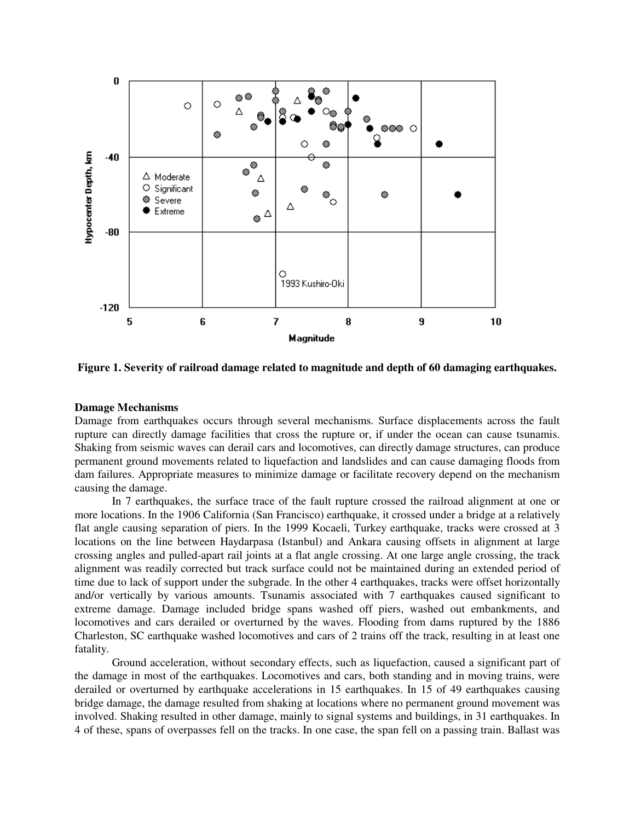

**Figure 1. Severity of railroad damage related to magnitude and depth of 60 damaging earthquakes.** 

## **Damage Mechanisms**

Damage from earthquakes occurs through several mechanisms. Surface displacements across the fault rupture can directly damage facilities that cross the rupture or, if under the ocean can cause tsunamis. Shaking from seismic waves can derail cars and locomotives, can directly damage structures, can produce permanent ground movements related to liquefaction and landslides and can cause damaging floods from dam failures. Appropriate measures to minimize damage or facilitate recovery depend on the mechanism causing the damage.

In 7 earthquakes, the surface trace of the fault rupture crossed the railroad alignment at one or more locations. In the 1906 California (San Francisco) earthquake, it crossed under a bridge at a relatively flat angle causing separation of piers. In the 1999 Kocaeli, Turkey earthquake, tracks were crossed at 3 locations on the line between Haydarpasa (Istanbul) and Ankara causing offsets in alignment at large crossing angles and pulled-apart rail joints at a flat angle crossing. At one large angle crossing, the track alignment was readily corrected but track surface could not be maintained during an extended period of time due to lack of support under the subgrade. In the other 4 earthquakes, tracks were offset horizontally and/or vertically by various amounts. Tsunamis associated with 7 earthquakes caused significant to extreme damage. Damage included bridge spans washed off piers, washed out embankments, and locomotives and cars derailed or overturned by the waves. Flooding from dams ruptured by the 1886 Charleston, SC earthquake washed locomotives and cars of 2 trains off the track, resulting in at least one fatality.

Ground acceleration, without secondary effects, such as liquefaction, caused a significant part of the damage in most of the earthquakes. Locomotives and cars, both standing and in moving trains, were derailed or overturned by earthquake accelerations in 15 earthquakes. In 15 of 49 earthquakes causing bridge damage, the damage resulted from shaking at locations where no permanent ground movement was involved. Shaking resulted in other damage, mainly to signal systems and buildings, in 31 earthquakes. In 4 of these, spans of overpasses fell on the tracks. In one case, the span fell on a passing train. Ballast was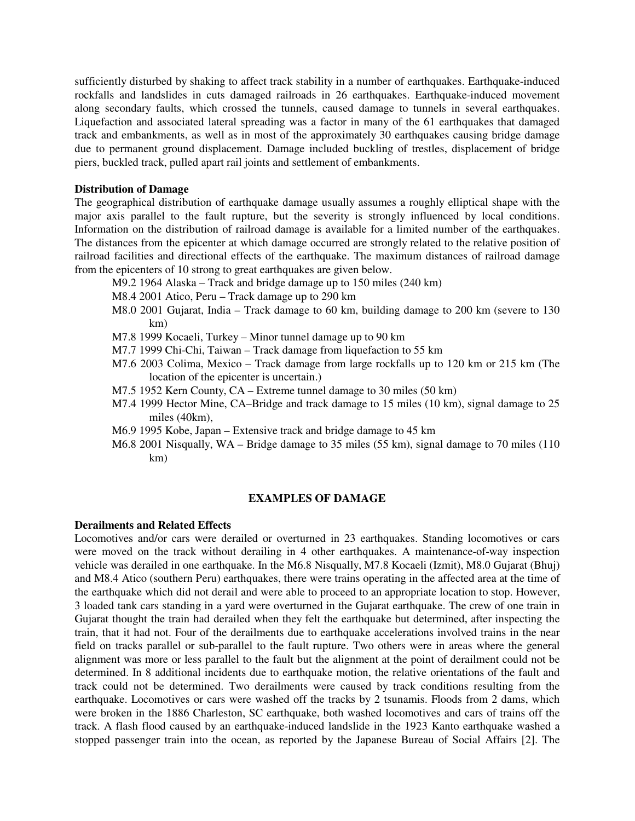sufficiently disturbed by shaking to affect track stability in a number of earthquakes. Earthquake-induced rockfalls and landslides in cuts damaged railroads in 26 earthquakes. Earthquake-induced movement along secondary faults, which crossed the tunnels, caused damage to tunnels in several earthquakes. Liquefaction and associated lateral spreading was a factor in many of the 61 earthquakes that damaged track and embankments, as well as in most of the approximately 30 earthquakes causing bridge damage due to permanent ground displacement. Damage included buckling of trestles, displacement of bridge piers, buckled track, pulled apart rail joints and settlement of embankments.

### **Distribution of Damage**

The geographical distribution of earthquake damage usually assumes a roughly elliptical shape with the major axis parallel to the fault rupture, but the severity is strongly influenced by local conditions. Information on the distribution of railroad damage is available for a limited number of the earthquakes. The distances from the epicenter at which damage occurred are strongly related to the relative position of railroad facilities and directional effects of the earthquake. The maximum distances of railroad damage from the epicenters of 10 strong to great earthquakes are given below.

- M9.2 1964 Alaska Track and bridge damage up to 150 miles (240 km)
- M8.4 2001 Atico, Peru Track damage up to 290 km
- M8.0 2001 Gujarat, India Track damage to 60 km, building damage to 200 km (severe to 130 km)
- M7.8 1999 Kocaeli, Turkey Minor tunnel damage up to 90 km
- M7.7 1999 Chi-Chi, Taiwan Track damage from liquefaction to 55 km
- M7.6 2003 Colima, Mexico Track damage from large rockfalls up to 120 km or 215 km (The location of the epicenter is uncertain.)
- M7.5 1952 Kern County, CA Extreme tunnel damage to 30 miles (50 km)
- M7.4 1999 Hector Mine, CA–Bridge and track damage to 15 miles (10 km), signal damage to 25 miles (40km),
- M6.9 1995 Kobe, Japan Extensive track and bridge damage to 45 km
- M6.8 2001 Nisqually, WA Bridge damage to 35 miles (55 km), signal damage to 70 miles (110 km)

## **EXAMPLES OF DAMAGE**

#### **Derailments and Related Effects**

Locomotives and/or cars were derailed or overturned in 23 earthquakes. Standing locomotives or cars were moved on the track without derailing in 4 other earthquakes. A maintenance-of-way inspection vehicle was derailed in one earthquake. In the M6.8 Nisqually, M7.8 Kocaeli (Izmit), M8.0 Gujarat (Bhuj) and M8.4 Atico (southern Peru) earthquakes, there were trains operating in the affected area at the time of the earthquake which did not derail and were able to proceed to an appropriate location to stop. However, 3 loaded tank cars standing in a yard were overturned in the Gujarat earthquake. The crew of one train in Gujarat thought the train had derailed when they felt the earthquake but determined, after inspecting the train, that it had not. Four of the derailments due to earthquake accelerations involved trains in the near field on tracks parallel or sub-parallel to the fault rupture. Two others were in areas where the general alignment was more or less parallel to the fault but the alignment at the point of derailment could not be determined. In 8 additional incidents due to earthquake motion, the relative orientations of the fault and track could not be determined. Two derailments were caused by track conditions resulting from the earthquake. Locomotives or cars were washed off the tracks by 2 tsunamis. Floods from 2 dams, which were broken in the 1886 Charleston, SC earthquake, both washed locomotives and cars of trains off the track. A flash flood caused by an earthquake-induced landslide in the 1923 Kanto earthquake washed a stopped passenger train into the ocean, as reported by the Japanese Bureau of Social Affairs [2]. The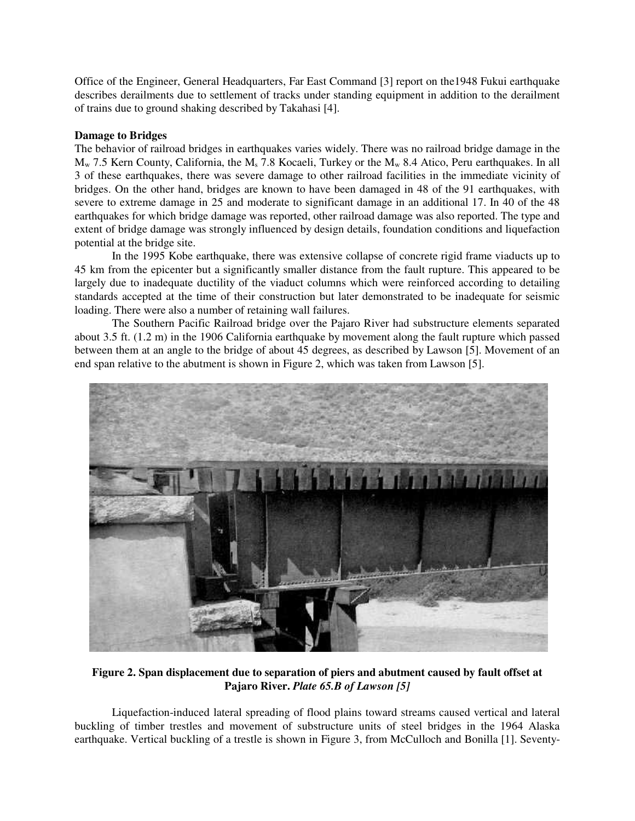Office of the Engineer, General Headquarters, Far East Command [3] report on the1948 Fukui earthquake describes derailments due to settlement of tracks under standing equipment in addition to the derailment of trains due to ground shaking described by Takahasi [4].

## **Damage to Bridges**

The behavior of railroad bridges in earthquakes varies widely. There was no railroad bridge damage in the  $M_w$  7.5 Kern County, California, the  $M_s$  7.8 Kocaeli, Turkey or the  $M_w$  8.4 Atico, Peru earthquakes. In all 3 of these earthquakes, there was severe damage to other railroad facilities in the immediate vicinity of bridges. On the other hand, bridges are known to have been damaged in 48 of the 91 earthquakes, with severe to extreme damage in 25 and moderate to significant damage in an additional 17. In 40 of the 48 earthquakes for which bridge damage was reported, other railroad damage was also reported. The type and extent of bridge damage was strongly influenced by design details, foundation conditions and liquefaction potential at the bridge site.

In the 1995 Kobe earthquake, there was extensive collapse of concrete rigid frame viaducts up to 45 km from the epicenter but a significantly smaller distance from the fault rupture. This appeared to be largely due to inadequate ductility of the viaduct columns which were reinforced according to detailing standards accepted at the time of their construction but later demonstrated to be inadequate for seismic loading. There were also a number of retaining wall failures.

The Southern Pacific Railroad bridge over the Pajaro River had substructure elements separated about 3.5 ft. (1.2 m) in the 1906 California earthquake by movement along the fault rupture which passed between them at an angle to the bridge of about 45 degrees, as described by Lawson [5]. Movement of an end span relative to the abutment is shown in Figure 2, which was taken from Lawson [5].



**Figure 2. Span displacement due to separation of piers and abutment caused by fault offset at Pajaro River.** *Plate 65.B of Lawson [5]* 

Liquefaction-induced lateral spreading of flood plains toward streams caused vertical and lateral buckling of timber trestles and movement of substructure units of steel bridges in the 1964 Alaska earthquake. Vertical buckling of a trestle is shown in Figure 3, from McCulloch and Bonilla [1]. Seventy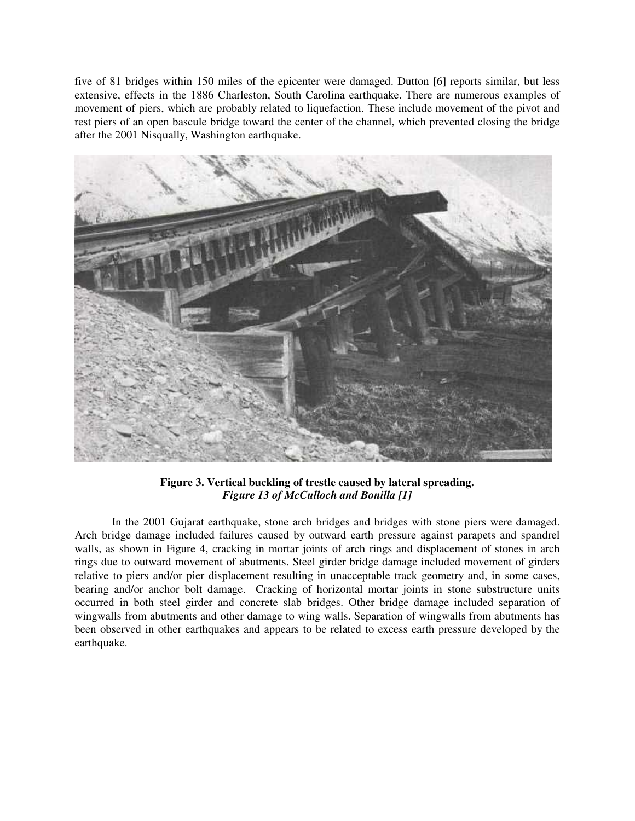five of 81 bridges within 150 miles of the epicenter were damaged. Dutton [6] reports similar, but less extensive, effects in the 1886 Charleston, South Carolina earthquake. There are numerous examples of movement of piers, which are probably related to liquefaction. These include movement of the pivot and rest piers of an open bascule bridge toward the center of the channel, which prevented closing the bridge after the 2001 Nisqually, Washington earthquake.



**Figure 3. Vertical buckling of trestle caused by lateral spreading.**  *Figure 13 of McCulloch and Bonilla [1]* 

In the 2001 Gujarat earthquake, stone arch bridges and bridges with stone piers were damaged. Arch bridge damage included failures caused by outward earth pressure against parapets and spandrel walls, as shown in Figure 4, cracking in mortar joints of arch rings and displacement of stones in arch rings due to outward movement of abutments. Steel girder bridge damage included movement of girders relative to piers and/or pier displacement resulting in unacceptable track geometry and, in some cases, bearing and/or anchor bolt damage. Cracking of horizontal mortar joints in stone substructure units occurred in both steel girder and concrete slab bridges. Other bridge damage included separation of wingwalls from abutments and other damage to wing walls. Separation of wingwalls from abutments has been observed in other earthquakes and appears to be related to excess earth pressure developed by the earthquake.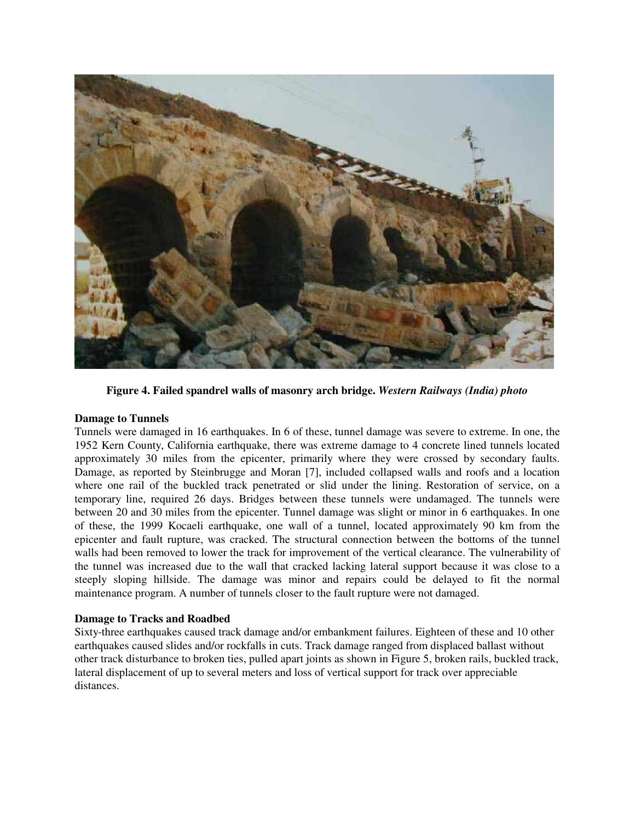

**Figure 4. Failed spandrel walls of masonry arch bridge.** *Western Railways (India) photo*

# **Damage to Tunnels**

Tunnels were damaged in 16 earthquakes. In 6 of these, tunnel damage was severe to extreme. In one, the 1952 Kern County, California earthquake, there was extreme damage to 4 concrete lined tunnels located approximately 30 miles from the epicenter, primarily where they were crossed by secondary faults. Damage, as reported by Steinbrugge and Moran [7], included collapsed walls and roofs and a location where one rail of the buckled track penetrated or slid under the lining. Restoration of service, on a temporary line, required 26 days. Bridges between these tunnels were undamaged. The tunnels were between 20 and 30 miles from the epicenter. Tunnel damage was slight or minor in 6 earthquakes. In one of these, the 1999 Kocaeli earthquake, one wall of a tunnel, located approximately 90 km from the epicenter and fault rupture, was cracked. The structural connection between the bottoms of the tunnel walls had been removed to lower the track for improvement of the vertical clearance. The vulnerability of the tunnel was increased due to the wall that cracked lacking lateral support because it was close to a steeply sloping hillside. The damage was minor and repairs could be delayed to fit the normal maintenance program. A number of tunnels closer to the fault rupture were not damaged.

# **Damage to Tracks and Roadbed**

Sixty-three earthquakes caused track damage and/or embankment failures. Eighteen of these and 10 other earthquakes caused slides and/or rockfalls in cuts. Track damage ranged from displaced ballast without other track disturbance to broken ties, pulled apart joints as shown in Figure 5, broken rails, buckled track, lateral displacement of up to several meters and loss of vertical support for track over appreciable distances.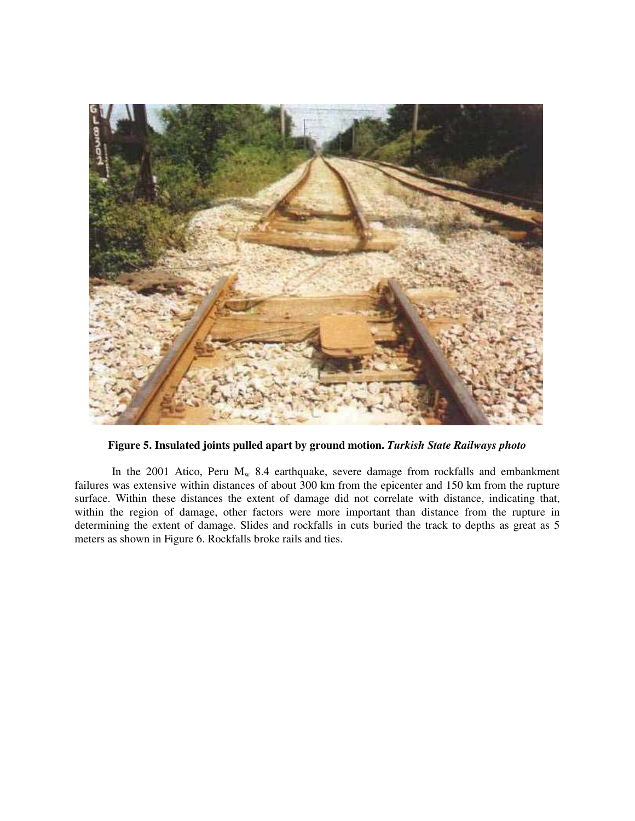

**Figure 5. Insulated joints pulled apart by ground motion.** *Turkish State Railways photo* 

In the 2001 Atico, Peru  $M_w$  8.4 earthquake, severe damage from rockfalls and embankment failures was extensive within distances of about 300 km from the epicenter and 150 km from the rupture surface. Within these distances the extent of damage did not correlate with distance, indicating that, within the region of damage, other factors were more important than distance from the rupture in determining the extent of damage. Slides and rockfalls in cuts buried the track to depths as great as 5 meters as shown in Figure 6. Rockfalls broke rails and ties.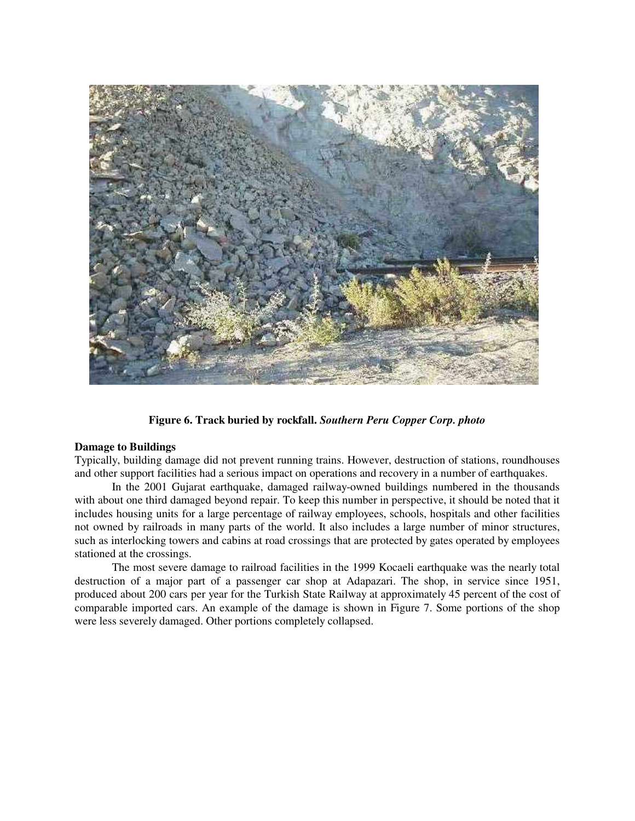

**Figure 6. Track buried by rockfall.** *Southern Peru Copper Corp. photo*

## **Damage to Buildings**

Typically, building damage did not prevent running trains. However, destruction of stations, roundhouses and other support facilities had a serious impact on operations and recovery in a number of earthquakes.

In the 2001 Gujarat earthquake, damaged railway-owned buildings numbered in the thousands with about one third damaged beyond repair. To keep this number in perspective, it should be noted that it includes housing units for a large percentage of railway employees, schools, hospitals and other facilities not owned by railroads in many parts of the world. It also includes a large number of minor structures, such as interlocking towers and cabins at road crossings that are protected by gates operated by employees stationed at the crossings.

The most severe damage to railroad facilities in the 1999 Kocaeli earthquake was the nearly total destruction of a major part of a passenger car shop at Adapazari. The shop, in service since 1951, produced about 200 cars per year for the Turkish State Railway at approximately 45 percent of the cost of comparable imported cars. An example of the damage is shown in Figure 7. Some portions of the shop were less severely damaged. Other portions completely collapsed.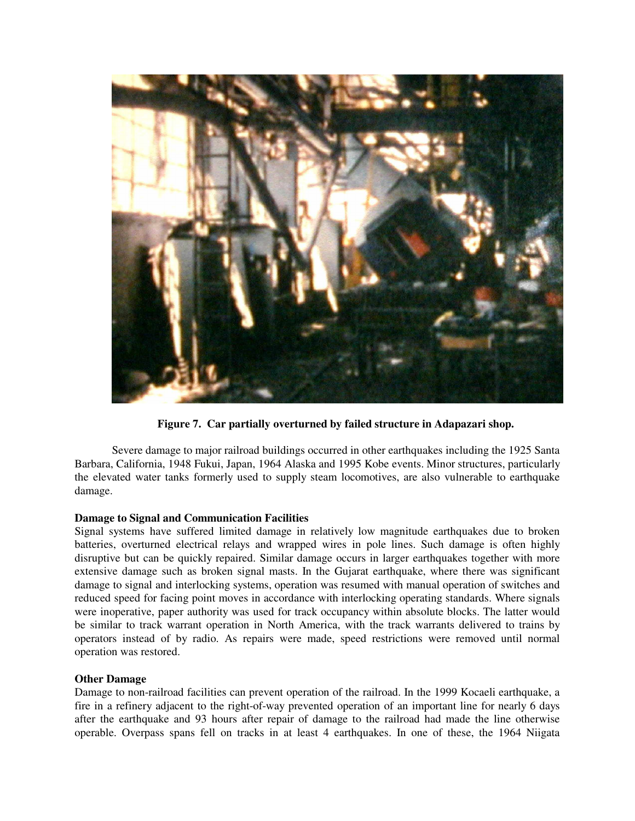

**Figure 7. Car partially overturned by failed structure in Adapazari shop.** 

Severe damage to major railroad buildings occurred in other earthquakes including the 1925 Santa Barbara, California, 1948 Fukui, Japan, 1964 Alaska and 1995 Kobe events. Minor structures, particularly the elevated water tanks formerly used to supply steam locomotives, are also vulnerable to earthquake damage.

# **Damage to Signal and Communication Facilities**

Signal systems have suffered limited damage in relatively low magnitude earthquakes due to broken batteries, overturned electrical relays and wrapped wires in pole lines. Such damage is often highly disruptive but can be quickly repaired. Similar damage occurs in larger earthquakes together with more extensive damage such as broken signal masts. In the Gujarat earthquake, where there was significant damage to signal and interlocking systems, operation was resumed with manual operation of switches and reduced speed for facing point moves in accordance with interlocking operating standards. Where signals were inoperative, paper authority was used for track occupancy within absolute blocks. The latter would be similar to track warrant operation in North America, with the track warrants delivered to trains by operators instead of by radio. As repairs were made, speed restrictions were removed until normal operation was restored.

# **Other Damage**

Damage to non-railroad facilities can prevent operation of the railroad. In the 1999 Kocaeli earthquake, a fire in a refinery adjacent to the right-of-way prevented operation of an important line for nearly 6 days after the earthquake and 93 hours after repair of damage to the railroad had made the line otherwise operable. Overpass spans fell on tracks in at least 4 earthquakes. In one of these, the 1964 Niigata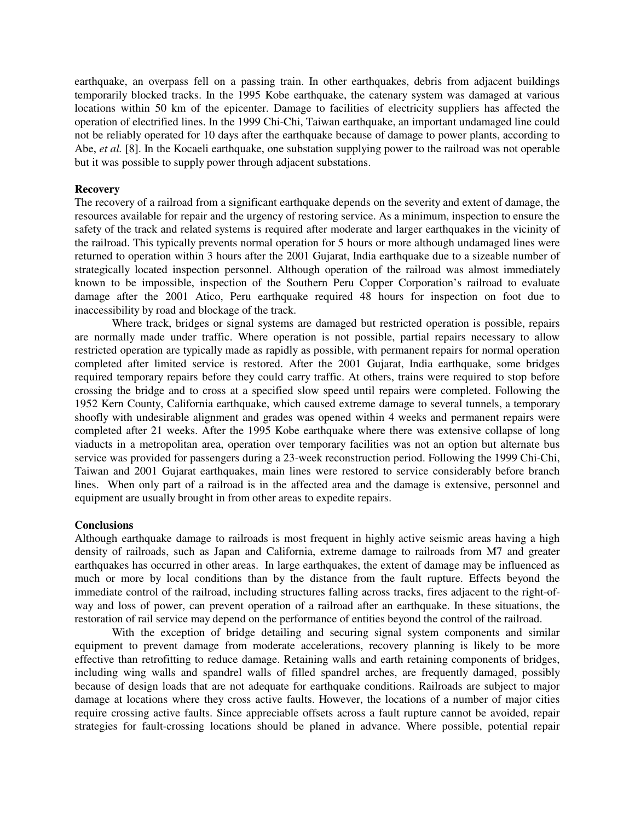earthquake, an overpass fell on a passing train. In other earthquakes, debris from adjacent buildings temporarily blocked tracks. In the 1995 Kobe earthquake, the catenary system was damaged at various locations within 50 km of the epicenter. Damage to facilities of electricity suppliers has affected the operation of electrified lines. In the 1999 Chi-Chi, Taiwan earthquake, an important undamaged line could not be reliably operated for 10 days after the earthquake because of damage to power plants, according to Abe, *et al.* [8]. In the Kocaeli earthquake, one substation supplying power to the railroad was not operable but it was possible to supply power through adjacent substations.

### **Recovery**

The recovery of a railroad from a significant earthquake depends on the severity and extent of damage, the resources available for repair and the urgency of restoring service. As a minimum, inspection to ensure the safety of the track and related systems is required after moderate and larger earthquakes in the vicinity of the railroad. This typically prevents normal operation for 5 hours or more although undamaged lines were returned to operation within 3 hours after the 2001 Gujarat, India earthquake due to a sizeable number of strategically located inspection personnel. Although operation of the railroad was almost immediately known to be impossible, inspection of the Southern Peru Copper Corporation's railroad to evaluate damage after the 2001 Atico, Peru earthquake required 48 hours for inspection on foot due to inaccessibility by road and blockage of the track.

Where track, bridges or signal systems are damaged but restricted operation is possible, repairs are normally made under traffic. Where operation is not possible, partial repairs necessary to allow restricted operation are typically made as rapidly as possible, with permanent repairs for normal operation completed after limited service is restored. After the 2001 Gujarat, India earthquake, some bridges required temporary repairs before they could carry traffic. At others, trains were required to stop before crossing the bridge and to cross at a specified slow speed until repairs were completed. Following the 1952 Kern County, California earthquake, which caused extreme damage to several tunnels, a temporary shoofly with undesirable alignment and grades was opened within 4 weeks and permanent repairs were completed after 21 weeks. After the 1995 Kobe earthquake where there was extensive collapse of long viaducts in a metropolitan area, operation over temporary facilities was not an option but alternate bus service was provided for passengers during a 23-week reconstruction period. Following the 1999 Chi-Chi, Taiwan and 2001 Gujarat earthquakes, main lines were restored to service considerably before branch lines. When only part of a railroad is in the affected area and the damage is extensive, personnel and equipment are usually brought in from other areas to expedite repairs.

#### **Conclusions**

Although earthquake damage to railroads is most frequent in highly active seismic areas having a high density of railroads, such as Japan and California, extreme damage to railroads from M7 and greater earthquakes has occurred in other areas. In large earthquakes, the extent of damage may be influenced as much or more by local conditions than by the distance from the fault rupture. Effects beyond the immediate control of the railroad, including structures falling across tracks, fires adjacent to the right-ofway and loss of power, can prevent operation of a railroad after an earthquake. In these situations, the restoration of rail service may depend on the performance of entities beyond the control of the railroad.

With the exception of bridge detailing and securing signal system components and similar equipment to prevent damage from moderate accelerations, recovery planning is likely to be more effective than retrofitting to reduce damage. Retaining walls and earth retaining components of bridges, including wing walls and spandrel walls of filled spandrel arches, are frequently damaged, possibly because of design loads that are not adequate for earthquake conditions. Railroads are subject to major damage at locations where they cross active faults. However, the locations of a number of major cities require crossing active faults. Since appreciable offsets across a fault rupture cannot be avoided, repair strategies for fault-crossing locations should be planed in advance. Where possible, potential repair